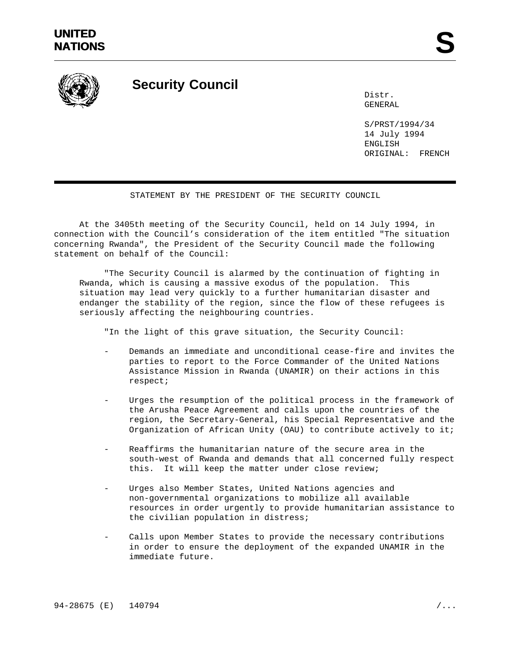

## **Security Council**

Distr. GENERAL

S/PRST/1994/34 14 July 1994 ENGLISH ORIGINAL: FRENCH

## STATEMENT BY THE PRESIDENT OF THE SECURITY COUNCIL

At the 3405th meeting of the Security Council, held on 14 July 1994, in connection with the Council's consideration of the item entitled "The situation concerning Rwanda", the President of the Security Council made the following statement on behalf of the Council:

"The Security Council is alarmed by the continuation of fighting in Rwanda, which is causing a massive exodus of the population. This situation may lead very quickly to a further humanitarian disaster and endanger the stability of the region, since the flow of these refugees is seriously affecting the neighbouring countries.

"In the light of this grave situation, the Security Council:

- Demands an immediate and unconditional cease-fire and invites the parties to report to the Force Commander of the United Nations Assistance Mission in Rwanda (UNAMIR) on their actions in this respect;
- Urges the resumption of the political process in the framework of the Arusha Peace Agreement and calls upon the countries of the region, the Secretary-General, his Special Representative and the Organization of African Unity (OAU) to contribute actively to it;
- Reaffirms the humanitarian nature of the secure area in the south-west of Rwanda and demands that all concerned fully respect this. It will keep the matter under close review;
- Urges also Member States, United Nations agencies and non-governmental organizations to mobilize all available resources in order urgently to provide humanitarian assistance to the civilian population in distress;
- Calls upon Member States to provide the necessary contributions in order to ensure the deployment of the expanded UNAMIR in the immediate future.